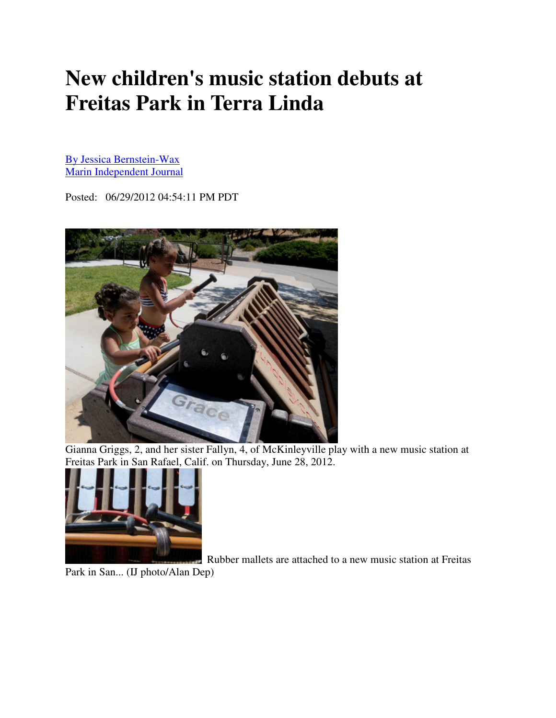## **New children's music station debuts at Freitas Park in Terra Linda**

By Jessica Bernstein-Wax Marin Independent Journal

Posted: 06/29/2012 04:54:11 PM PDT



Gianna Griggs, 2, and her sister Fallyn, 4, of McKinleyville play with a new music station at Freitas Park in San Rafael, Calif. on Thursday, June 28, 2012.



Rubber mallets are attached to a new music station at Freitas

Park in San... (IJ photo/Alan Dep)